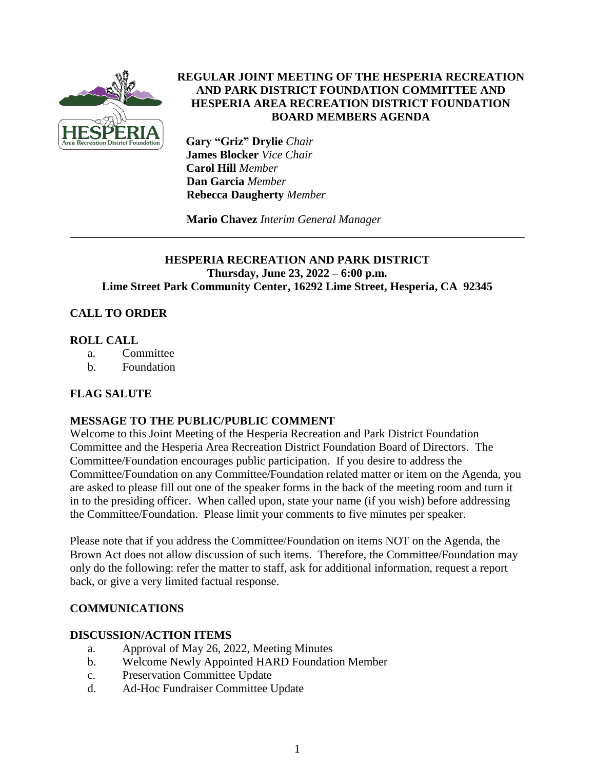

# **REGULAR JOINT MEETING OF THE HESPERIA RECREATION AND PARK DISTRICT FOUNDATION COMMITTEE AND HESPERIA AREA RECREATION DISTRICT FOUNDATION BOARD MEMBERS AGENDA**

 **Gary "Griz" Drylie** *Chair*  **James Blocker** *Vice Chair* **Carol Hill** *Member*  **Dan Garcia** *Member*  **Rebecca Daugherty** *Member*

**Mario Chavez** *Interim General Manager*

## **HESPERIA RECREATION AND PARK DISTRICT Thursday, June 23, 2022 – 6:00 p.m. Lime Street Park Community Center, 16292 Lime Street, Hesperia, CA 92345**

\_\_\_\_\_\_\_\_\_\_\_\_\_\_\_\_\_\_\_\_\_\_\_\_\_\_\_\_\_\_\_\_\_\_\_\_\_\_\_\_\_\_\_\_\_\_\_\_\_\_\_\_\_\_\_\_\_\_\_\_\_\_\_\_\_\_\_\_\_\_\_\_\_\_\_\_\_\_

# **CALL TO ORDER**

### **ROLL CALL**

- a. Committee
- b. Foundation

## **FLAG SALUTE**

## **MESSAGE TO THE PUBLIC/PUBLIC COMMENT**

Welcome to this Joint Meeting of the Hesperia Recreation and Park District Foundation Committee and the Hesperia Area Recreation District Foundation Board of Directors. The Committee/Foundation encourages public participation. If you desire to address the Committee/Foundation on any Committee/Foundation related matter or item on the Agenda, you are asked to please fill out one of the speaker forms in the back of the meeting room and turn it in to the presiding officer. When called upon, state your name (if you wish) before addressing the Committee/Foundation. Please limit your comments to five minutes per speaker.

Please note that if you address the Committee/Foundation on items NOT on the Agenda, the Brown Act does not allow discussion of such items. Therefore, the Committee/Foundation may only do the following: refer the matter to staff, ask for additional information, request a report back, or give a very limited factual response.

## **COMMUNICATIONS**

#### **DISCUSSION/ACTION ITEMS**

- a. Approval of May 26, 2022, Meeting Minutes
- b. Welcome Newly Appointed HARD Foundation Member
- c. Preservation Committee Update
- d. Ad-Hoc Fundraiser Committee Update